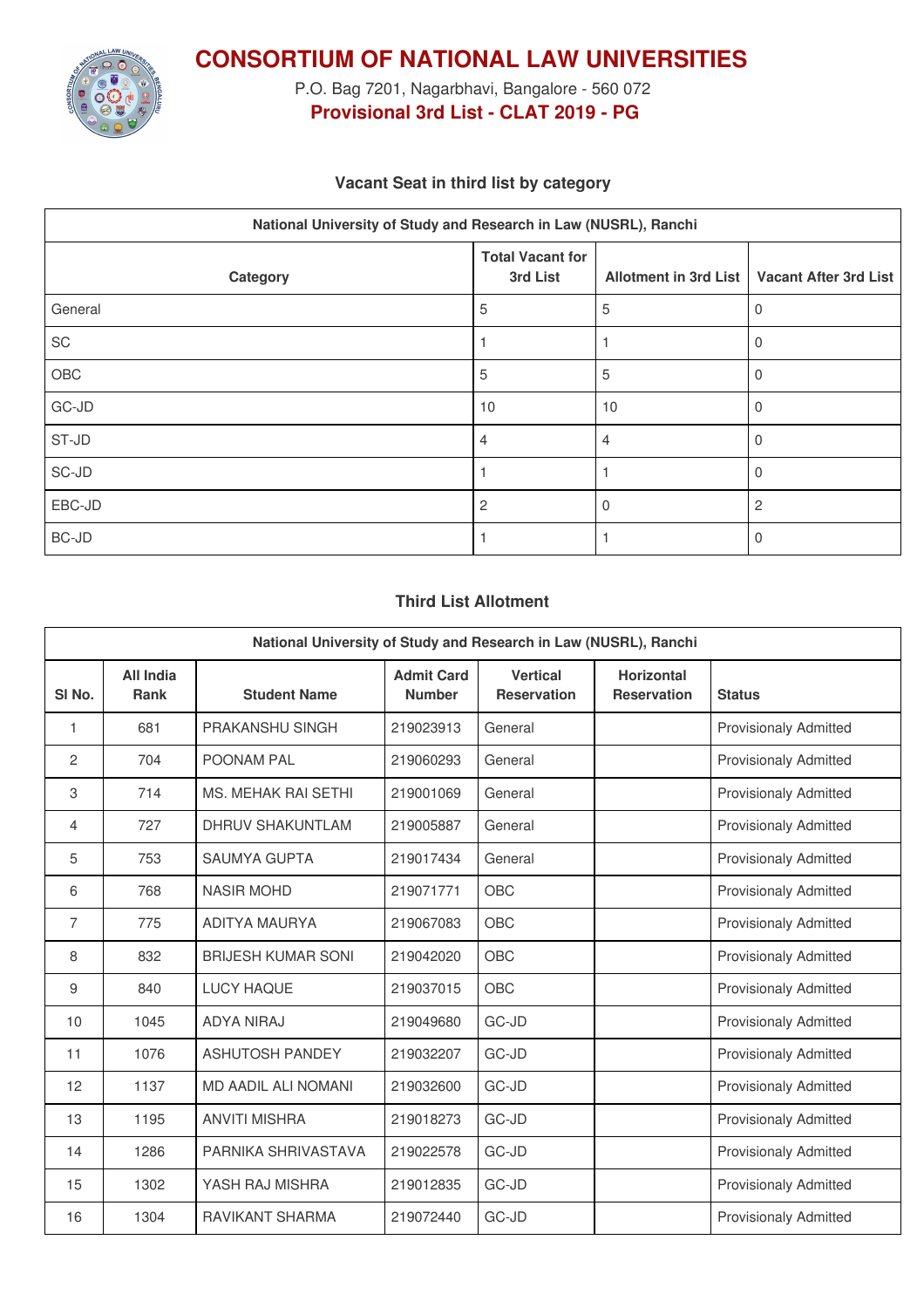

**CONSORTIUM OF NATIONAL LAW UNIVERSITIES**

P.O. Bag 7201, Nagarbhavi, Bangalore - 560 072 **Provisional 3rd List - CLAT 2019 - PG**

# **Vacant Seat in third list by category**

| National University of Study and Research in Law (NUSRL), Ranchi |                                     |                              |                              |  |  |
|------------------------------------------------------------------|-------------------------------------|------------------------------|------------------------------|--|--|
| Category                                                         | <b>Total Vacant for</b><br>3rd List | <b>Allotment in 3rd List</b> | <b>Vacant After 3rd List</b> |  |  |
| General                                                          | 5                                   | 5                            | 0                            |  |  |
| SC                                                               |                                     |                              | $\Omega$                     |  |  |
| OBC                                                              | 5                                   | 5                            | 0                            |  |  |
| $GC-JD$                                                          | 10                                  | 10                           | $\Omega$                     |  |  |
| ST-JD                                                            | $\overline{4}$                      | 4                            | 0                            |  |  |
| SC-JD                                                            |                                     |                              | $\Omega$                     |  |  |
| EBC-JD                                                           | $\overline{2}$                      | 0                            | 2                            |  |  |
| BC-JD                                                            |                                     |                              | 0                            |  |  |

## **Third List Allotment**

| National University of Study and Research in Law (NUSRL), Ranchi |                                 |                            |                                    |                                       |                                         |                              |
|------------------------------------------------------------------|---------------------------------|----------------------------|------------------------------------|---------------------------------------|-----------------------------------------|------------------------------|
| SI <sub>No.</sub>                                                | <b>All India</b><br><b>Rank</b> | <b>Student Name</b>        | <b>Admit Card</b><br><b>Number</b> | <b>Vertical</b><br><b>Reservation</b> | <b>Horizontal</b><br><b>Reservation</b> | <b>Status</b>                |
| 1                                                                | 681                             | PRAKANSHU SINGH            | 219023913                          | General                               |                                         | <b>Provisionaly Admitted</b> |
| $\overline{c}$                                                   | 704                             | POONAM PAL                 | 219060293                          | General                               |                                         | <b>Provisionaly Admitted</b> |
| 3                                                                | 714                             | <b>MS. MEHAK RAI SETHI</b> | 219001069                          | General                               |                                         | <b>Provisionaly Admitted</b> |
| 4                                                                | 727                             | <b>DHRUV SHAKUNTLAM</b>    | 219005887                          | General                               |                                         | <b>Provisionaly Admitted</b> |
| 5                                                                | 753                             | <b>SAUMYA GUPTA</b>        | 219017434                          | General                               |                                         | <b>Provisionaly Admitted</b> |
| 6                                                                | 768                             | <b>NASIR MOHD</b>          | 219071771                          | OBC                                   |                                         | <b>Provisionaly Admitted</b> |
| $\overline{7}$                                                   | 775                             | ADITYA MAURYA              | 219067083                          | OBC                                   |                                         | <b>Provisionaly Admitted</b> |
| 8                                                                | 832                             | <b>BRIJESH KUMAR SONI</b>  | 219042020                          | OBC                                   |                                         | <b>Provisionaly Admitted</b> |
| 9                                                                | 840                             | <b>LUCY HAQUE</b>          | 219037015                          | OBC                                   |                                         | <b>Provisionaly Admitted</b> |
| 10                                                               | 1045                            | <b>ADYA NIRAJ</b>          | 219049680                          | GC-JD                                 |                                         | <b>Provisionaly Admitted</b> |
| 11                                                               | 1076                            | <b>ASHUTOSH PANDEY</b>     | 219032207                          | GC-JD                                 |                                         | <b>Provisionaly Admitted</b> |
| 12                                                               | 1137                            | <b>MD AADIL ALI NOMANI</b> | 219032600                          | GC-JD                                 |                                         | <b>Provisionaly Admitted</b> |
| 13                                                               | 1195                            | <b>ANVITI MISHRA</b>       | 219018273                          | GC-JD                                 |                                         | <b>Provisionaly Admitted</b> |
| 14                                                               | 1286                            | PARNIKA SHRIVASTAVA        | 219022578                          | GC-JD                                 |                                         | <b>Provisionaly Admitted</b> |
| 15                                                               | 1302                            | YASH RAJ MISHRA            | 219012835                          | GC-JD                                 |                                         | <b>Provisionaly Admitted</b> |
| 16                                                               | 1304                            | <b>RAVIKANT SHARMA</b>     | 219072440                          | GC-JD                                 |                                         | <b>Provisionaly Admitted</b> |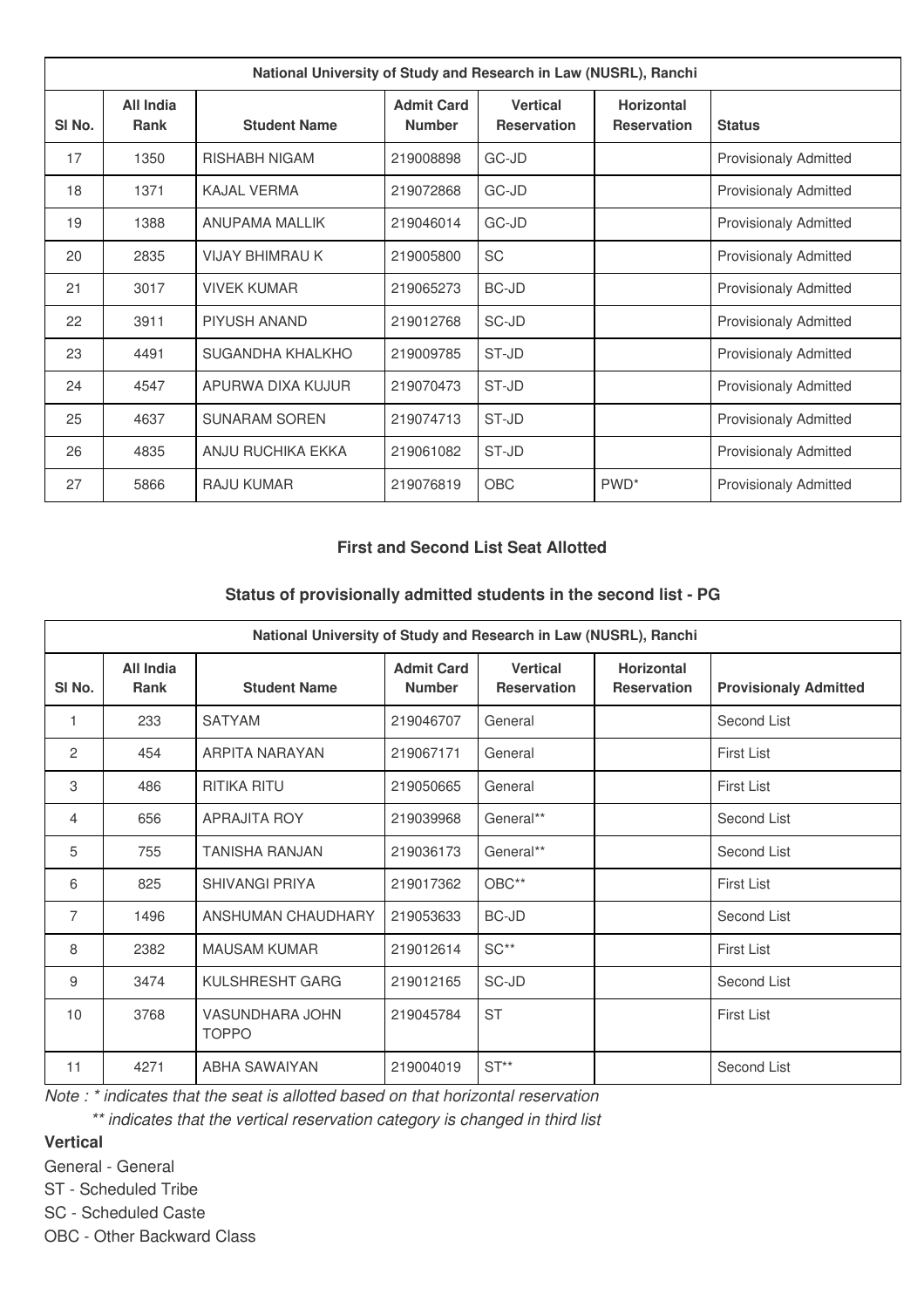| National University of Study and Research in Law (NUSRL), Ranchi |                                 |                        |                                    |                                       |                                         |                              |
|------------------------------------------------------------------|---------------------------------|------------------------|------------------------------------|---------------------------------------|-----------------------------------------|------------------------------|
| SI <sub>No.</sub>                                                | <b>All India</b><br><b>Rank</b> | <b>Student Name</b>    | <b>Admit Card</b><br><b>Number</b> | <b>Vertical</b><br><b>Reservation</b> | <b>Horizontal</b><br><b>Reservation</b> | <b>Status</b>                |
| 17                                                               | 1350                            | <b>RISHABH NIGAM</b>   | 219008898                          | GC-JD                                 |                                         | <b>Provisionaly Admitted</b> |
| 18                                                               | 1371                            | KAJAI VERMA            | 219072868                          | GC-JD                                 |                                         | <b>Provisionaly Admitted</b> |
| 19                                                               | 1388                            | <b>ANUPAMA MALLIK</b>  | 219046014                          | GC-JD                                 |                                         | <b>Provisionaly Admitted</b> |
| 20                                                               | 2835                            | <b>VIJAY BHIMRAU K</b> | 219005800                          | <b>SC</b>                             |                                         | <b>Provisionaly Admitted</b> |
| 21                                                               | 3017                            | <b>VIVEK KUMAR</b>     | 219065273                          | <b>BC-JD</b>                          |                                         | <b>Provisionaly Admitted</b> |
| 22                                                               | 3911                            | <b>PIYUSH ANAND</b>    | 219012768                          | SC-JD                                 |                                         | <b>Provisionaly Admitted</b> |
| 23                                                               | 4491                            | SUGANDHA KHALKHO       | 219009785                          | ST-JD                                 |                                         | <b>Provisionaly Admitted</b> |
| 24                                                               | 4547                            | APURWA DIXA KUJUR      | 219070473                          | ST-JD                                 |                                         | <b>Provisionaly Admitted</b> |
| 25                                                               | 4637                            | <b>SUNARAM SOREN</b>   | 219074713                          | ST-JD                                 |                                         | <b>Provisionaly Admitted</b> |
| 26                                                               | 4835                            | ANJU RUCHIKA EKKA      | 219061082                          | ST-JD                                 |                                         | <b>Provisionaly Admitted</b> |
| 27                                                               | 5866                            | <b>RAJU KUMAR</b>      | 219076819                          | <b>OBC</b>                            | PWD <sup>*</sup>                        | <b>Provisionaly Admitted</b> |

### **First and Second List Seat Allotted**

#### **Status of provisionally admitted students in the second list - PG**

| National University of Study and Research in Law (NUSRL), Ranchi |                                 |                                 |                                    |                                       |                                         |                              |
|------------------------------------------------------------------|---------------------------------|---------------------------------|------------------------------------|---------------------------------------|-----------------------------------------|------------------------------|
| SI <sub>No.</sub>                                                | <b>All India</b><br><b>Rank</b> | <b>Student Name</b>             | <b>Admit Card</b><br><b>Number</b> | <b>Vertical</b><br><b>Reservation</b> | <b>Horizontal</b><br><b>Reservation</b> | <b>Provisionaly Admitted</b> |
| 1                                                                | 233                             | <b>SATYAM</b>                   | 219046707                          | General                               |                                         | Second List                  |
| $\mathbf{2}$                                                     | 454                             | ARPITA NARAYAN                  | 219067171                          | General                               |                                         | <b>First List</b>            |
| 3                                                                | 486                             | <b>RITIKA RITU</b>              | 219050665                          | General                               |                                         | <b>First List</b>            |
| 4                                                                | 656                             | <b>APRAJITA ROY</b>             | 219039968                          | General**                             |                                         | Second List                  |
| 5                                                                | 755                             | <b>TANISHA RANJAN</b>           | 219036173                          | General**                             |                                         | Second List                  |
| 6                                                                | 825                             | <b>SHIVANGI PRIYA</b>           | 219017362                          | OBC**                                 |                                         | <b>First List</b>            |
| $\overline{7}$                                                   | 1496                            | ANSHUMAN CHAUDHARY              | 219053633                          | <b>BC-JD</b>                          |                                         | Second List                  |
| 8                                                                | 2382                            | <b>MAUSAM KUMAR</b>             | 219012614                          | $SC**$                                |                                         | <b>First List</b>            |
| 9                                                                | 3474                            | KULSHRESHT GARG                 | 219012165                          | SC-JD                                 |                                         | Second List                  |
| 10                                                               | 3768                            | VASUNDHARA JOHN<br><b>TOPPO</b> | 219045784                          | <b>ST</b>                             |                                         | <b>First List</b>            |
| 11                                                               | 4271                            | ABHA SAWAIYAN                   | 219004019                          | $ST**$                                |                                         | Second List                  |

*Note : \* indicates that the seat is allotted based on that horizontal reservation*

*\*\* indicates that the vertical reservation category is changed in third list*

**Vertical**

General - General

ST - Scheduled Tribe

SC - Scheduled Caste

OBC - Other Backward Class